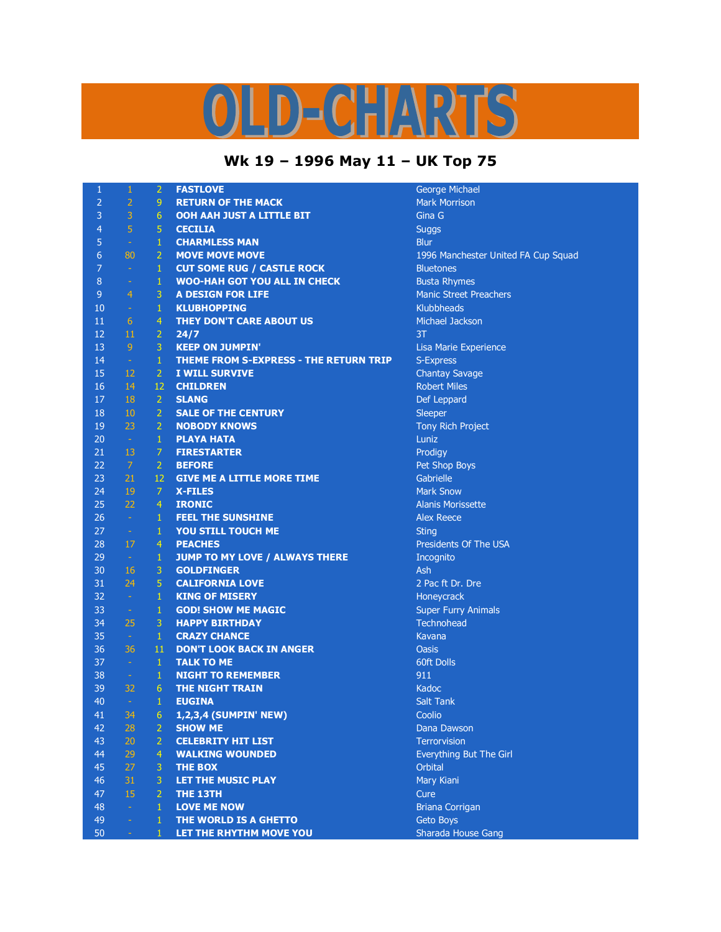## OLD-CHARTS

## **Wk 19 – 1996 May 11 – UK Top 75**

| 1               | $\mathbf{1}$   | $\overline{2}$   | <b>FASTLOVE</b>                                     | George Michael              |
|-----------------|----------------|------------------|-----------------------------------------------------|-----------------------------|
| $\overline{2}$  | $\overline{2}$ | 9                | <b>RETURN OF THE MACK</b>                           | <b>Mark Morrison</b>        |
| 3               | 3              | 6                | <b>OOH AAH JUST A LITTLE BIT</b>                    | Gina G                      |
| $\overline{4}$  | $\overline{5}$ | 5                | <b>CECILIA</b>                                      | <b>Suggs</b>                |
| 5               | $\equiv$       | $\mathbf{1}$     | <b>CHARMLESS MAN</b>                                | Blur                        |
| $6\phantom{1}6$ | 80             | $\overline{2}$   | <b>MOVE MOVE MOVE</b>                               | 1996 Manchester Uni         |
| $\overline{7}$  | $\sim$         | $\mathbf{1}$     | <b>CUT SOME RUG / CASTLE ROCK</b>                   | <b>Bluetones</b>            |
| $\bf 8$         | ÷              | $\mathbf{1}$     | <b>WOO-HAH GOT YOU ALL IN CHECK</b>                 | <b>Busta Rhymes</b>         |
| 9               | $\overline{4}$ | 3                | <b>A DESIGN FOR LIFE</b>                            | <b>Manic Street Preache</b> |
| 10              | $\omega$       | $\mathbf{1}$     | <b>KLUBHOPPING</b>                                  | Klubbheads                  |
| 11              | 6              | $\overline{4}$   | <b>THEY DON'T CARE ABOUT US</b>                     | Michael Jackson             |
| 12              | 11             | $\overline{2}$   | 24/7                                                | 3T                          |
| 13              | 9              | 3                | <b>KEEP ON JUMPIN'</b>                              | Lisa Marie Experience       |
| 14              | $\omega$       | $\mathbf 1$      | THEME FROM S-EXPRESS - THE RETURN TRIP              | S-Express                   |
| 15              | 12             | $\overline{2}$   | <b>I WILL SURVIVE</b>                               | <b>Chantay Savage</b>       |
| 16              | 14             | 12               | <b>CHILDREN</b>                                     | <b>Robert Miles</b>         |
| 17              | 18             | $\overline{2}$   | <b>SLANG</b>                                        | Def Leppard                 |
| 18              | 10             | $\overline{2}$   | <b>SALE OF THE CENTURY</b>                          | Sleeper                     |
| 19              | 23             | $\overline{2}$   | <b>NOBODY KNOWS</b>                                 | Tony Rich Project           |
| 20              | $\omega$       | $\mathbf{1}$     | <b>PLAYA HATA</b>                                   | Luniz                       |
| 21              | 13             | $\overline{7}$   | <b>FIRESTARTER</b>                                  | Prodigy                     |
| 22              | 7              | $\overline{2}$   | <b>BEFORE</b>                                       | Pet Shop Boys               |
| 23              | 21             | 12               | <b>GIVE ME A LITTLE MORE TIME</b>                   | Gabrielle                   |
| 24              | 19             | 7                | <b>X-FILES</b>                                      | <b>Mark Snow</b>            |
| 25              | 22             | $\overline{4}$   | <b>IRONIC</b>                                       | <b>Alanis Morissette</b>    |
| 26              | $\omega$       | $\mathbf{1}$     | <b>FEEL THE SUNSHINE</b>                            | <b>Alex Reece</b>           |
| 27              | $\equiv$       | $\mathbf{1}$     | YOU STILL TOUCH ME                                  | <b>Sting</b>                |
| 28              | 17             | $\overline{4}$   | <b>PEACHES</b>                                      | Presidents Of The US        |
| 29              |                |                  |                                                     |                             |
| 30              | $\equiv$<br>16 | $\mathbf 1$<br>3 | JUMP TO MY LOVE / ALWAYS THERE<br><b>GOLDFINGER</b> | Incognito<br>Ash            |
| 31              | 24             | 5                | <b>CALIFORNIA LOVE</b>                              | 2 Pac ft Dr. Dre            |
|                 |                |                  |                                                     |                             |
| 32              | $\omega$       | $\mathbf{1}$     | <b>KING OF MISERY</b>                               | Honeycrack                  |
| 33              | $\equiv$       | $\mathbf{1}$     | <b>GOD! SHOW ME MAGIC</b>                           | <b>Super Furry Animals</b>  |
| 34              | 25             | 3                | <b>HAPPY BIRTHDAY</b>                               | Technohead                  |
| 35              | $\omega$       | $\mathbf{1}$     | <b>CRAZY CHANCE</b>                                 | Kavana                      |
| 36              | 36             | 11               | <b>DON'T LOOK BACK IN ANGER</b>                     | Oasis                       |
| 37              | $\sim$         | $1\,$            | <b>TALK TO ME</b>                                   | 60ft Dolls                  |
| 38              | $\sim$         | $\mathbf{1}$     | <b>NIGHT TO REMEMBER</b>                            | 911                         |
| 39              | 32             | 6                | <b>THE NIGHT TRAIN</b>                              | Kadoc                       |
| 40              | $\sim$         | $\mathbf{1}$     | <b>EUGINA</b>                                       | <b>Salt Tank</b>            |
| 41              | 34             | 6                | 1,2,3,4 (SUMPIN' NEW)                               | Coolio                      |
| 42              | 28             | $\overline{2}$   | <b>SHOW ME</b>                                      | Dana Dawson                 |
| 43              | 20             | $\overline{2}$   | <b>CELEBRITY HIT LIST</b>                           | <b>Terrorvision</b>         |
| 44              | 29             | 4                | <b>WALKING WOUNDED</b>                              | Everything But The G        |
| 45              | 27             | 3                | <b>THE BOX</b>                                      | <b>Orbital</b>              |
| 46              | 31             | 3                | <b>LET THE MUSIC PLAY</b>                           | Mary Kiani                  |
| 47              | 15             | $\overline{2}$   | THE 13TH                                            | Cure                        |
| 48              | $\omega$       | $\mathbf{1}$     | <b>LOVE ME NOW</b>                                  | <b>Briana Corrigan</b>      |
| 49              | u,             | 1                | THE WORLD IS A GHETTO                               | Geto Boys                   |
| 50              | ÷.             | $\mathbf{1}$     | LET THE RHYTHM MOVE YOU                             | Sharada House Gang          |

ge Michael **Manchester United FA Cup Squad Rhymes** c Street Preachers ael Jackson **Marie Experience Itay Savage** Rich Project **Prop Boys 25 Morissette** dents Of The USA ft Dr. Dre r Furry Animals **ything But The Girl** na Corrigan